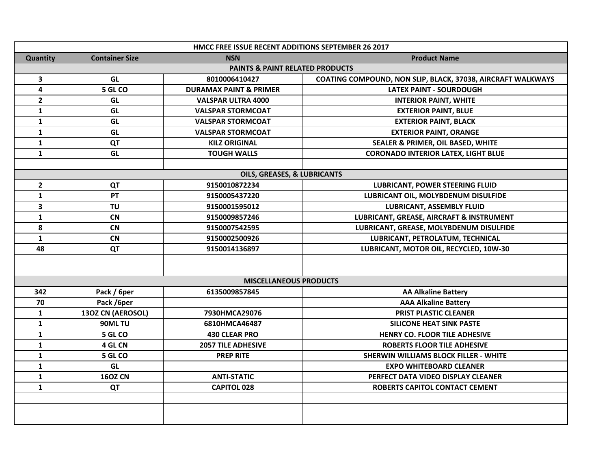| HMCC FREE ISSUE RECENT ADDITIONS SEPTEMBER 26 2017 |                       |                                   |                                                             |  |  |
|----------------------------------------------------|-----------------------|-----------------------------------|-------------------------------------------------------------|--|--|
| Quantity                                           | <b>Container Size</b> | <b>NSN</b>                        | <b>Product Name</b>                                         |  |  |
| <b>PAINTS &amp; PAINT RELATED PRODUCTS</b>         |                       |                                   |                                                             |  |  |
| $\mathbf{3}$                                       | GL                    | 8010006410427                     | COATING COMPOUND, NON SLIP, BLACK, 37038, AIRCRAFT WALKWAYS |  |  |
| $\overline{\mathbf{4}}$                            | 5 GL CO               | <b>DURAMAX PAINT &amp; PRIMER</b> | <b>LATEX PAINT - SOURDOUGH</b>                              |  |  |
| $\overline{2}$                                     | GL                    | VALSPAR ULTRA 4000                | <b>INTERIOR PAINT, WHITE</b>                                |  |  |
| $\mathbf{1}$                                       | GL                    | <b>VALSPAR STORMCOAT</b>          | <b>EXTERIOR PAINT, BLUE</b>                                 |  |  |
| 1                                                  | GL                    | <b>VALSPAR STORMCOAT</b>          | <b>EXTERIOR PAINT, BLACK</b>                                |  |  |
| $\mathbf{1}$                                       | GL                    | <b>VALSPAR STORMCOAT</b>          | <b>EXTERIOR PAINT, ORANGE</b>                               |  |  |
| $\mathbf{1}$                                       | QT                    | <b>KILZ ORIGINAL</b>              | SEALER & PRIMER, OIL BASED, WHITE                           |  |  |
| $\mathbf{1}$                                       | GL                    | <b>TOUGH WALLS</b>                | <b>CORONADO INTERIOR LATEX, LIGHT BLUE</b>                  |  |  |
|                                                    |                       |                                   |                                                             |  |  |
| OILS, GREASES, & LUBRICANTS                        |                       |                                   |                                                             |  |  |
| $\overline{2}$                                     | QT                    | 9150010872234                     | <b>LUBRICANT, POWER STEERING FLUID</b>                      |  |  |
| 1                                                  | PT                    | 9150005437220                     | LUBRICANT OIL, MOLYBDENUM DISULFIDE                         |  |  |
| 3                                                  | <b>TU</b>             | 9150001595012                     | <b>LUBRICANT, ASSEMBLY FLUID</b>                            |  |  |
| $\mathbf{1}$                                       | CN                    | 9150009857246                     | LUBRICANT, GREASE, AIRCRAFT & INSTRUMENT                    |  |  |
| 8                                                  | <b>CN</b>             | 9150007542595                     | LUBRICANT, GREASE, MOLYBDENUM DISULFIDE                     |  |  |
| $\mathbf{1}$                                       | <b>CN</b>             | 9150002500926                     | LUBRICANT, PETROLATUM, TECHNICAL                            |  |  |
| 48                                                 | QT                    | 9150014136897                     | LUBRICANT, MOTOR OIL, RECYCLED, 10W-30                      |  |  |
|                                                    |                       |                                   |                                                             |  |  |
|                                                    |                       |                                   |                                                             |  |  |
| <b>MISCELLANEOUS PRODUCTS</b>                      |                       |                                   |                                                             |  |  |
| 342                                                | Pack / 6per           | 6135009857845                     | <b>AA Alkaline Battery</b>                                  |  |  |
| 70                                                 | Pack /6per            |                                   | <b>AAA Alkaline Battery</b>                                 |  |  |
| 1                                                  | 130Z CN (AEROSOL)     | 7930HMCA29076                     | PRIST PLASTIC CLEANER                                       |  |  |
| 1                                                  | 90ML TU               | 6810HMCA46487                     | <b>SILICONE HEAT SINK PASTE</b>                             |  |  |
| 1                                                  | 5 GL CO               | <b>430 CLEAR PRO</b>              | <b>HENRY CO. FLOOR TILE ADHESIVE</b>                        |  |  |
| $\mathbf{1}$                                       | 4 GL CN               | <b>2057 TILE ADHESIVE</b>         | <b>ROBERTS FLOOR TILE ADHESIVE</b>                          |  |  |
| 1                                                  | 5 GL CO               | <b>PREP RITE</b>                  | <b>SHERWIN WILLIAMS BLOCK FILLER - WHITE</b>                |  |  |
| 1                                                  | GL                    |                                   | <b>EXPO WHITEBOARD CLEANER</b>                              |  |  |
| $\mathbf{1}$                                       | <b>160Z CN</b>        | <b>ANTI-STATIC</b>                | PERFECT DATA VIDEO DISPLAY CLEANER                          |  |  |
| $\mathbf{1}$                                       | QT                    | <b>CAPITOL 028</b>                | ROBERTS CAPITOL CONTACT CEMENT                              |  |  |
|                                                    |                       |                                   |                                                             |  |  |
|                                                    |                       |                                   |                                                             |  |  |
|                                                    |                       |                                   |                                                             |  |  |